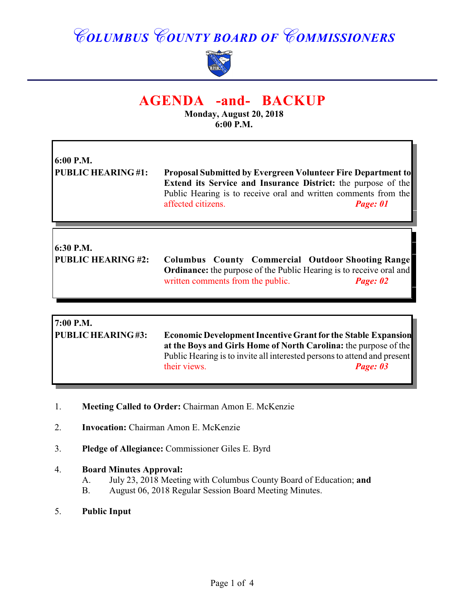# *COLUMBUS COUNTY BOARD OF COMMISSIONERS*



## **AGENDA -and- BACKUP**

**Monday, August 20, 2018 6:00 P.M.**

Ъ

| 6:00 P.M.<br><b>PUBLIC HEARING#1:</b>  | <b>Proposal Submitted by Evergreen Volunteer Fire Department to</b><br><b>Extend its Service and Insurance District:</b> the purpose of the<br>Public Hearing is to receive oral and written comments from the<br>affected citizens.<br>Page: 01 |
|----------------------------------------|--------------------------------------------------------------------------------------------------------------------------------------------------------------------------------------------------------------------------------------------------|
| 6:30 P.M.<br><b>PUBLIC HEARING #2:</b> | <b>Columbus County Commercial Outdoor Shooting Range</b><br><b>Ordinance:</b> the purpose of the Public Hearing is to receive oral and<br>written comments from the public.<br>Page: 02                                                          |

| 7:00 P.M.                |                                                                                                                                                                                                                      |          |
|--------------------------|----------------------------------------------------------------------------------------------------------------------------------------------------------------------------------------------------------------------|----------|
| <b>PUBLIC HEARING#3:</b> | <b>Economic Development Incentive Grant for the Stable Expansion</b><br>at the Boys and Girls Home of North Carolina: the purpose of the<br>Public Hearing is to invite all interested persons to attend and present |          |
|                          |                                                                                                                                                                                                                      |          |
|                          |                                                                                                                                                                                                                      |          |
|                          | their views.                                                                                                                                                                                                         | Page: 03 |
|                          |                                                                                                                                                                                                                      |          |

- 1. **Meeting Called to Order:** Chairman Amon E. McKenzie
- 2. **Invocation:** Chairman Amon E. McKenzie
- 3. **Pledge of Allegiance:** Commissioner Giles E. Byrd

#### 4. **Board Minutes Approval:**

- A. July 23, 2018 Meeting with Columbus County Board of Education; **and**
- B. August 06, 2018 Regular Session Board Meeting Minutes.
- 5. **Public Input**

 $\mathsf{r}$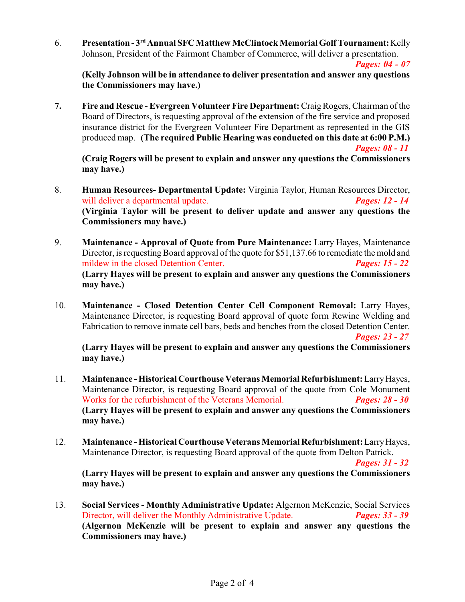6. **Presentation - 3<sup>rd</sup> Annual SFC Matthew McClintock Memorial Golf Tournament:** Kelly Johnson, President of the Fairmont Chamber of Commerce, will deliver a presentation.

*Pages: 04 - 07*

**(Kelly Johnson will be in attendance to deliver presentation and answer any questions the Commissioners may have.)**

**7. Fire and Rescue - Evergreen Volunteer Fire Department:** Craig Rogers, Chairman of the Board of Directors, is requesting approval of the extension of the fire service and proposed insurance district for the Evergreen Volunteer Fire Department as represented in the GIS produced map. **(The required Public Hearing was conducted on this date at 6:00 P.M.)** *Pages: 08 - 11*

**(Craig Rogers will be present to explain and answer any questions the Commissioners may have.)**

- 8. **Human Resources- Departmental Update:** Virginia Taylor, Human Resources Director, will deliver a departmental update. *Pages: 12 - 14* **(Virginia Taylor will be present to deliver update and answer any questions the Commissioners may have.)**
- 9. **Maintenance Approval of Quote from Pure Maintenance:** Larry Hayes, Maintenance Director, is requesting Board approval of the quote for \$51,137.66 to remediate the mold and mildew in the closed Detention Center. *Pages: 15 - 22* **(Larry Hayes will be present to explain and answer any questions the Commissioners may have.)**
- 10. **Maintenance Closed Detention Center Cell Component Removal:** Larry Hayes, Maintenance Director, is requesting Board approval of quote form Rewine Welding and Fabrication to remove inmate cell bars, beds and benches from the closed Detention Center. *Pages: 23 - 27*

**(Larry Hayes will be present to explain and answer any questions the Commissioners may have.)**

- 11. **Maintenance Historical Courthouse Veterans Memorial Refurbishment:** Larry Hayes, Maintenance Director, is requesting Board approval of the quote from Cole Monument Works for the refurbishment of the Veterans Memorial. *Pages: 28 - 30* **(Larry Hayes will be present to explain and answer any questions the Commissioners may have.)**
- 12. **Maintenance Historical Courthouse Veterans Memorial Refurbishment:** Larry Hayes, Maintenance Director, is requesting Board approval of the quote from Delton Patrick.

*Pages: 31 - 32*

**(Larry Hayes will be present to explain and answer any questions the Commissioners may have.)**

13. **Social Services - Monthly Administrative Update:** Algernon McKenzie, Social Services Director, will deliver the Monthly Administrative Update. *Pages: 33 - 39* **(Algernon McKenzie will be present to explain and answer any questions the Commissioners may have.)**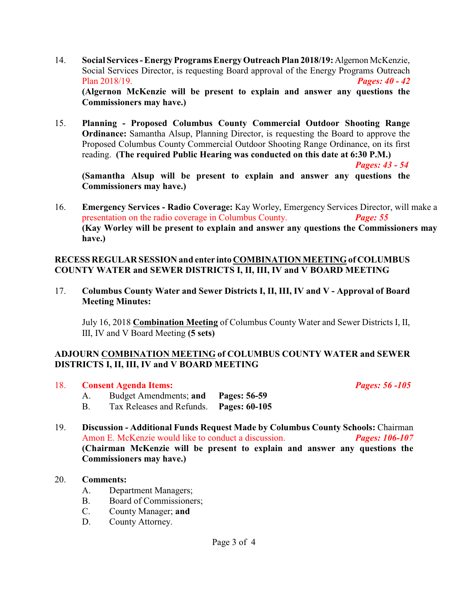- 14. **Social Services Energy Programs Energy Outreach Plan 2018/19:** Algernon McKenzie, Social Services Director, is requesting Board approval of the Energy Programs Outreach Plan 2018/19. *Pages: 40 - 42* **(Algernon McKenzie will be present to explain and answer any questions the Commissioners may have.)**
- 15. **Planning Proposed Columbus County Commercial Outdoor Shooting Range Ordinance:** Samantha Alsup, Planning Director, is requesting the Board to approve the Proposed Columbus County Commercial Outdoor Shooting Range Ordinance, on its first reading. **(The required Public Hearing was conducted on this date at 6:30 P.M.)**

*Pages: 43 - 54*

**(Samantha Alsup will be present to explain and answer any questions the Commissioners may have.)**

16. **Emergency Services - Radio Coverage:** Kay Worley, Emergency Services Director, will make a presentation on the radio coverage in Columbus County. *Page: 55* **(Kay Worley will be present to explain and answer any questions the Commissioners may have.)**

#### **RECESS REGULAR SESSION and enter into COMBINATION MEETING of COLUMBUS COUNTY WATER and SEWER DISTRICTS I, II, III, IV and V BOARD MEETING**

17. **Columbus County Water and Sewer Districts I, II, III, IV and V - Approval of Board Meeting Minutes:**

July 16, 2018 **Combination Meeting** of Columbus County Water and Sewer Districts I, II, III, IV and V Board Meeting **(5 sets)**

### **ADJOURN COMBINATION MEETING of COLUMBUS COUNTY WATER and SEWER DISTRICTS I, II, III, IV and V BOARD MEETING**

#### 18. **Consent Agenda Items:** *Pages: 56 -105*

- A. Budget Amendments; **and Pages: 56-59**
- B. Tax Releases and Refunds. **Pages: 60-105**
- 19. **Discussion Additional Funds Request Made by Columbus County Schools:** Chairman Amon E. McKenzie would like to conduct a discussion. *Pages: 106-107* **(Chairman McKenzie will be present to explain and answer any questions the Commissioners may have.)**

#### 20. **Comments:**

- A. Department Managers;
- B. Board of Commissioners;
- C. County Manager; **and**
- D. County Attorney.